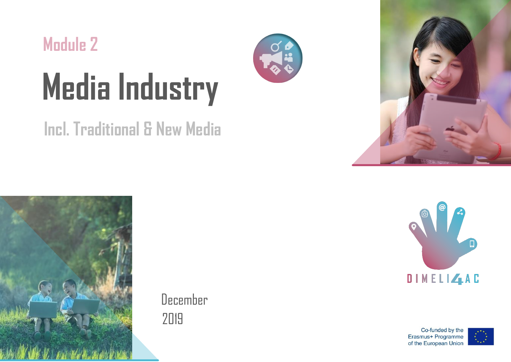

# **Incl. Traditional & New Media**



December 2019





Co-funded by the Erasmus+ Programme of the European Union

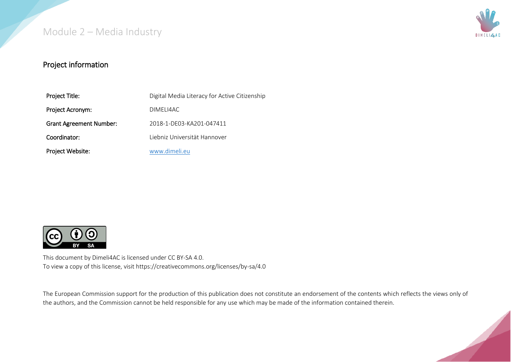

#### Project information

| Project Title:                 | Digital Media Literacy for Active Citizenship |
|--------------------------------|-----------------------------------------------|
| Project Acronym:               | DIMELI4AC                                     |
| <b>Grant Agreement Number:</b> | 2018-1-DE03-KA201-047411                      |
| Coordinator:                   | Liebniz Universität Hannover                  |
| Project Website:               | www.dimeli.eu                                 |



This document by Dimeli4AC is licensed under CC BY-SA 4.0. To view a copy of this license, visit https://creativecommons.org/licenses/by-sa/4.0

The European Commission support for the production of this publication does not constitute an endorsement of the contents which reflects the views only of the authors, and the Commission cannot be held responsible for any use which may be made of the information contained therein.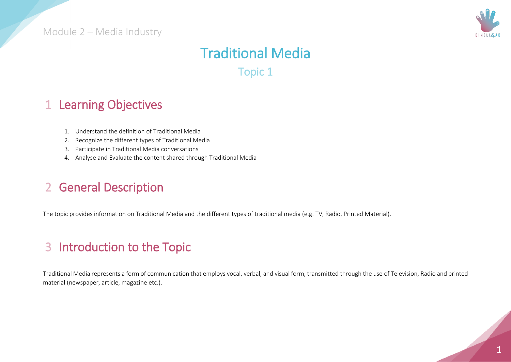

# Traditional Media Topic 1

#### 1 Learning Objectives

- 1. Understand the definition of Traditional Media
- 2. Recognize the different types of Traditional Media
- 3. Participate in Traditional Media conversations
- 4. Analyse and Evaluate the content shared through Traditional Media

### 2 General Description

The topic provides information on Traditional Media and the different types of traditional media (e.g. TV, Radio, Printed Material).

# 3 Introduction to the Topic

Traditional Media represents a form of communication that employs vocal, verbal, and visual form, transmitted through the use of Television, Radio and printed material (newspaper, article, magazine etc.).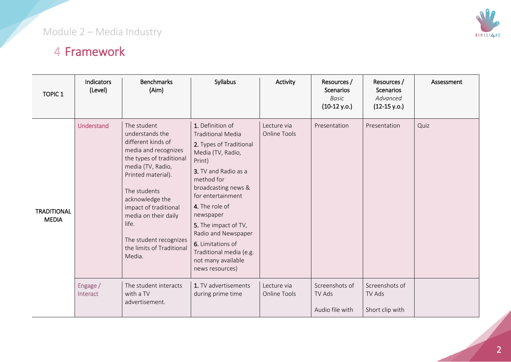# 4 Framework

| <b>TOPIC 1</b>                     | <b>Indicators</b><br>(Level) | <b>Benchmarks</b><br>(Aim)                                                                                                                                                                                                                                                                                        | Syllabus                                                                                                                                                                                                                                                                                                                                                        | Activity                    | Resources /<br><b>Scenarios</b><br><b>Basic</b><br>$(10-12 y.o.)$ | Resources /<br><b>Scenarios</b><br>Advanced<br>$(12-15 y.o.)$ | Assessment |
|------------------------------------|------------------------------|-------------------------------------------------------------------------------------------------------------------------------------------------------------------------------------------------------------------------------------------------------------------------------------------------------------------|-----------------------------------------------------------------------------------------------------------------------------------------------------------------------------------------------------------------------------------------------------------------------------------------------------------------------------------------------------------------|-----------------------------|-------------------------------------------------------------------|---------------------------------------------------------------|------------|
| <b>TRADITIONAL</b><br><b>MEDIA</b> | <b>Understand</b>            | The student<br>understands the<br>different kinds of<br>media and recognizes<br>the types of traditional<br>media (TV, Radio,<br>Printed material).<br>The students<br>acknowledge the<br>impact of traditional<br>media on their daily<br>life.<br>The student recognizes<br>the limits of Traditional<br>Media. | 1. Definition of<br><b>Traditional Media</b><br>2. Types of Traditional<br>Media (TV, Radio,<br>Print)<br>3. TV and Radio as a<br>method for<br>broadcasting news &<br>for entertainment<br>4. The role of<br>newspaper<br>5. The impact of TV,<br>Radio and Newspaper<br>6. Limitations of<br>Traditional media (e.g.<br>not many available<br>news resources) | Lecture via<br>Online Tools | Presentation                                                      | Presentation                                                  | Quiz       |
|                                    | Engage /<br>Interact         | The student interacts<br>with a TV<br>advertisement.                                                                                                                                                                                                                                                              | 1. TV advertisements<br>during prime time                                                                                                                                                                                                                                                                                                                       | Lecture via<br>Online Tools | Screenshots of<br>TV Ads<br>Audio file with                       | Screenshots of<br>TV Ads<br>Short clip with                   |            |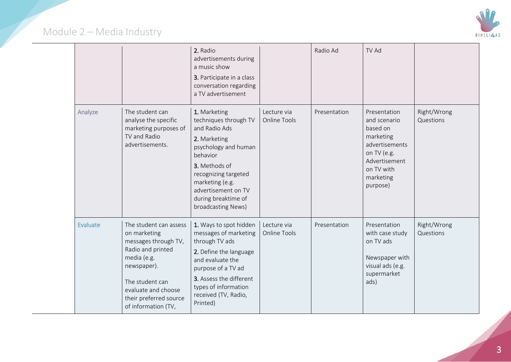

|  |                 |                                                                                                                                                                                                              | 2. Radio<br>advertisements during<br>a music show<br>3. Participate in a class<br>conversation regarding<br>a TV advertisement                                                                                                             |                                    | Radio Ad     | TV Ad                                                                                                                                          |                          |
|--|-----------------|--------------------------------------------------------------------------------------------------------------------------------------------------------------------------------------------------------------|--------------------------------------------------------------------------------------------------------------------------------------------------------------------------------------------------------------------------------------------|------------------------------------|--------------|------------------------------------------------------------------------------------------------------------------------------------------------|--------------------------|
|  | Analyze         | The student can<br>analyse the specific<br>marketing purposes of<br>TV and Radio<br>advertisements.                                                                                                          | 1. Marketing<br>techniques through TV<br>and Radio Ads<br>2. Marketing<br>psychology and human<br>behavior<br>3. Methods of<br>recognizing targeted<br>marketing (e.g.<br>advertisement on TV<br>during breaktime of<br>broadcasting News) | Lecture via<br><b>Online Tools</b> | Presentation | Presentation<br>and scenario<br>based on<br>marketing<br>advertisements<br>on TV (e.g.<br>Advertisement<br>on TV with<br>marketing<br>purpose) | Right/Wrong<br>Questions |
|  | <b>Evaluate</b> | The student can assess<br>on marketing<br>messages through TV,<br>Radio and printed<br>media (e.g.<br>newspaper).<br>The student can<br>evaluate and choose<br>their preferred source<br>of information (TV, | 1. Ways to spot hidden<br>messages of marketing<br>through TV ads<br>2. Define the language<br>and evaluate the<br>purpose of a TV ad<br>3. Assess the different<br>types of information<br>received (TV, Radio,<br>Printed)               | Lecture via<br><b>Online Tools</b> | Presentation | Presentation<br>with case study<br>on TV ads<br>Newspaper with<br>visual ads (e.g.<br>supermarket<br>ads)                                      | Right/Wrong<br>Questions |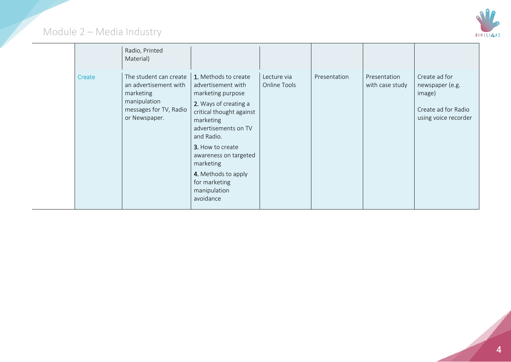

|        | Radio, Printed<br>Material)                                                                                             |                                                                                                                                                                                                                                                                                                        |                             |              |                                 |                                                                                           |
|--------|-------------------------------------------------------------------------------------------------------------------------|--------------------------------------------------------------------------------------------------------------------------------------------------------------------------------------------------------------------------------------------------------------------------------------------------------|-----------------------------|--------------|---------------------------------|-------------------------------------------------------------------------------------------|
| Create | The student can create<br>an advertisement with<br>marketing<br>manipulation<br>messages for TV, Radio<br>or Newspaper. | 1. Methods to create<br>advertisement with<br>marketing purpose<br>2. Ways of creating a<br>critical thought against<br>marketing<br>advertisements on TV<br>and Radio.<br>3. How to create<br>awareness on targeted<br>marketing<br>4. Methods to apply<br>for marketing<br>manipulation<br>avoidance | Lecture via<br>Online Tools | Presentation | Presentation<br>with case study | Create ad for<br>newspaper (e.g.<br>image)<br>Create ad for Radio<br>using voice recorder |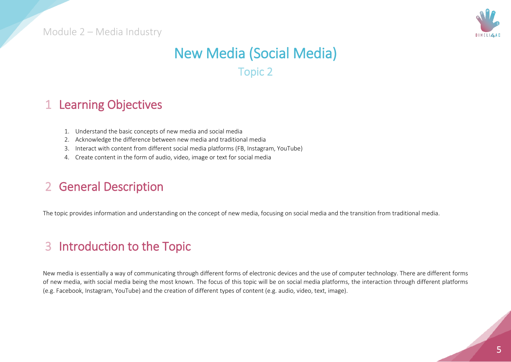

# New Media (Social Media)

Topic 2

#### 1 Learning Objectives

- 1. Understand the basic concepts of new media and social media
- 2. Acknowledge the difference between new media and traditional media
- 3. Interact with content from different social media platforms (FB, Instagram, YouTube)
- 4. Create content in the form of audio, video, image or text for social media

### 2 General Description

The topic provides information and understanding on the concept of new media, focusing on social media and the transition from traditional media.

## 3 Introduction to the Topic

New media is essentially a way of communicating through different forms of electronic devices and the use of computer technology. There are different forms of new media, with social media being the most known. The focus of this topic will be on social media platforms, the interaction through different platforms (e.g. Facebook, Instagram, YouTube) and the creation of different types of content (e.g. audio, video, text, image).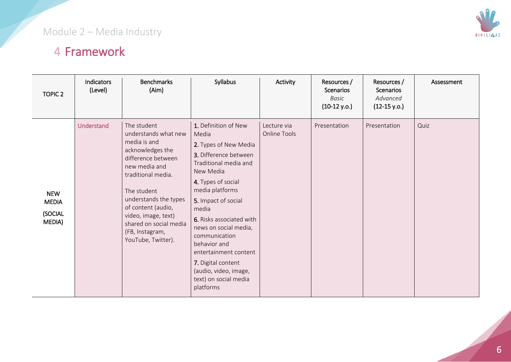# 4 Framework

| <b>TOPIC 2</b>                                  | <b>Indicators</b><br>(Level) | <b>Benchmarks</b><br>(Aim)                                                                                                                                                                                                                                                                   | Syllabus                                                                                                                                                                                                                                                                                                                                                                                           | Activity                    | Resources /<br>Scenarios<br><b>Basic</b><br>$(10-12 y.o.)$ | Resources /<br><b>Scenarios</b><br>Advanced<br>$(12-15 y.o.)$ | Assessment |
|-------------------------------------------------|------------------------------|----------------------------------------------------------------------------------------------------------------------------------------------------------------------------------------------------------------------------------------------------------------------------------------------|----------------------------------------------------------------------------------------------------------------------------------------------------------------------------------------------------------------------------------------------------------------------------------------------------------------------------------------------------------------------------------------------------|-----------------------------|------------------------------------------------------------|---------------------------------------------------------------|------------|
| <b>NEW</b><br><b>MEDIA</b><br>(SOCIAL<br>MEDIA) | <b>Understand</b>            | The student<br>understands what new<br>media is and<br>acknowledges the<br>difference between<br>new media and<br>traditional media.<br>The student<br>understands the types<br>of content (audio,<br>video, image, text)<br>shared on social media<br>(FB, Instagram,<br>YouTube, Twitter). | 1. Definition of New<br>Media<br>2. Types of New Media<br>3. Difference between<br>Traditional media and<br>New Media<br>4. Types of social<br>media platforms<br>5. Impact of social<br>media<br>6. Risks associated with<br>news on social media,<br>communication<br>behavior and<br>entertainment content<br>7. Digital content<br>(audio, video, image,<br>text) on social media<br>platforms | Lecture via<br>Online Tools | Presentation                                               | Presentation                                                  | Quiz       |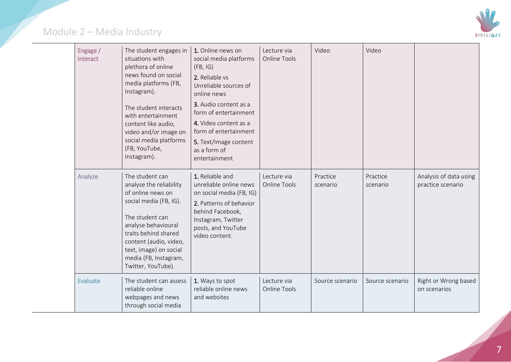

| Engage /<br>Interact | The student engages in<br>situations with<br>plethora of online<br>news found on social<br>media platforms (FB,<br>Instagram).<br>The student interacts<br>with entertainment<br>content like audio,<br>video and/or image on<br>social media platforms<br>(FB, YouTube,<br>Instagram). | 1. Online news on<br>social media platforms<br>(FB, IG)<br>2. Reliable vs<br>Unreliable sources of<br>online news<br>3. Audio content as a<br>form of entertainment<br>4. Video content as a<br>form of entertainment<br>5. Text/Image content<br>as a form of<br>entertainment | Lecture via<br><b>Online Tools</b> | Video                | Video                |                                             |
|----------------------|-----------------------------------------------------------------------------------------------------------------------------------------------------------------------------------------------------------------------------------------------------------------------------------------|---------------------------------------------------------------------------------------------------------------------------------------------------------------------------------------------------------------------------------------------------------------------------------|------------------------------------|----------------------|----------------------|---------------------------------------------|
| Analyze              | The student can<br>analyse the reliability<br>of online news on<br>social media (FB, IG).<br>The student can<br>analyse behavioural<br>traits behind shared<br>content (audio, video,<br>text, image) on social<br>media (FB, Instagram,<br>Twitter, YouTube).                          | 1. Reliable and<br>unreliable online news<br>on social media (FB, IG)<br>2. Patterns of behavior<br>behind Facebook,<br>Instagram, Twitter<br>posts, and YouTube<br>video content.                                                                                              | Lecture via<br><b>Online Tools</b> | Practice<br>scenario | Practice<br>scenario | Analysis of data using<br>practice scenario |
| Evaluate             | The student can assess<br>reliable online<br>webpages and news<br>through social media                                                                                                                                                                                                  | 1. Ways to spot<br>reliable online news<br>and websites                                                                                                                                                                                                                         | Lecture via<br><b>Online Tools</b> | Source scenario      | Source scenario      | Right or Wrong based<br>on scenarios        |